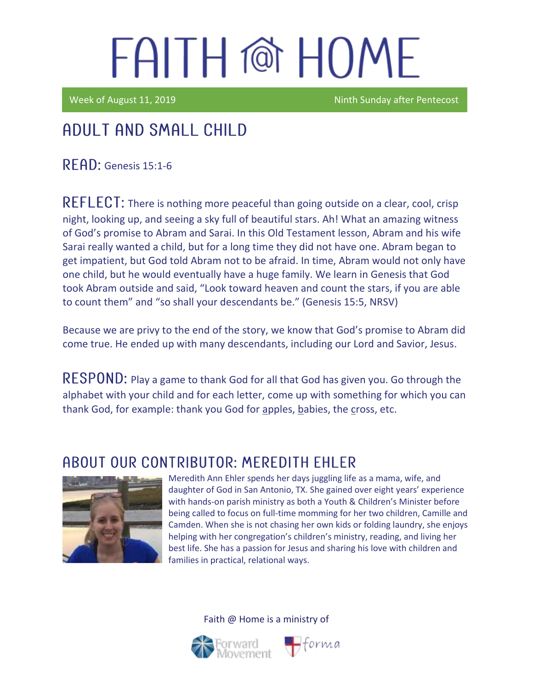Week of August 11, 2019 Ninth Sunday after Pentecost

### Adult and Small Child

 $R$  $F$  $AD:$  Genesis 15:1-6

 $REFLECT$ : There is nothing more peaceful than going outside on a clear, cool, crisp night, looking up, and seeing a sky full of beautiful stars. Ah! What an amazing witness of God's promise to Abram and Sarai. In this Old Testament lesson, Abram and his wife Sarai really wanted a child, but for a long time they did not have one. Abram began to get impatient, but God told Abram not to be afraid. In time, Abram would not only have one child, but he would eventually have a huge family. We learn in Genesis that God took Abram outside and said, "Look toward heaven and count the stars, if you are able to count them" and "so shall your descendants be." (Genesis 15:5, NRSV)

Because we are privy to the end of the story, we know that God's promise to Abram did come true. He ended up with many descendants, including our Lord and Savior, Jesus.

 $RESPOND:$  Play a game to thank God for all that God has given you. Go through the alphabet with your child and for each letter, come up with something for which you can thank God, for example: thank you God for apples, babies, the cross, etc.

#### ABOUT OUR CONTRIBUTOR: MEREDITH EHLER



Meredith Ann Ehler spends her days juggling life as a mama, wife, and daughter of God in San Antonio, TX. She gained over eight years' experience with hands-on parish ministry as both a Youth & Children's Minister before being called to focus on full-time momming for her two children, Camille and Camden. When she is not chasing her own kids or folding laundry, she enjoys helping with her congregation's children's ministry, reading, and living her best life. She has a passion for Jesus and sharing his love with children and families in practical, relational ways.





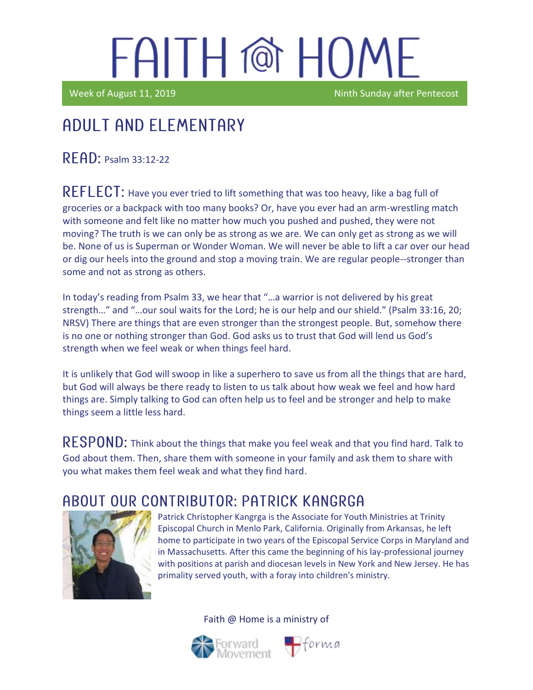Week of August 11, 2019 Ninth Sunday after Pentecost

### Adult and elementary

 $R$  $F$  $AD:$  Psalm 33:12-22

REFLECT: Have you ever tried to lift something that was too heavy, like a bag full of groceries or a backpack with too many books? Or, have you ever had an arm-wrestling match with someone and felt like no matter how much you pushed and pushed, they were not moving? The truth is we can only be as strong as we are. We can only get as strong as we will be. None of us is Superman or Wonder Woman. We will never be able to lift a car over our head or dig our heels into the ground and stop a moving train. We are regular people--stronger than some and not as strong as others.

In today's reading from Psalm 33, we hear that "…a warrior is not delivered by his great strength…" and "…our soul waits for the Lord; he is our help and our shield." (Psalm 33:16, 20; NRSV) There are things that are even stronger than the strongest people. But, somehow there is no one or nothing stronger than God. God asks us to trust that God will lend us God's strength when we feel weak or when things feel hard.

It is unlikely that God will swoop in like a superhero to save us from all the things that are hard, but God will always be there ready to listen to us talk about how weak we feel and how hard things are. Simply talking to God can often help us to feel and be stronger and help to make things seem a little less hard.

RESPOND: Think about the things that make you feel weak and that you find hard. Talk to God about them. Then, share them with someone in your family and ask them to share with you what makes them feel weak and what they find hard.

### A BOUT OUR CONTRIBUTOR: PATRICK KANGRGA



Patrick Christopher Kangrga is the Associate for Youth Ministries at Trinity Episcopal Church in Menlo Park, California. Originally from Arkansas, he left home to participate in two years of the Episcopal Service Corps in Maryland and in Massachusetts. After this came the beginning of his lay-professional journey with positions at parish and diocesan levels in New York and New Jersey. He has primality served youth, with a foray into children's ministry.





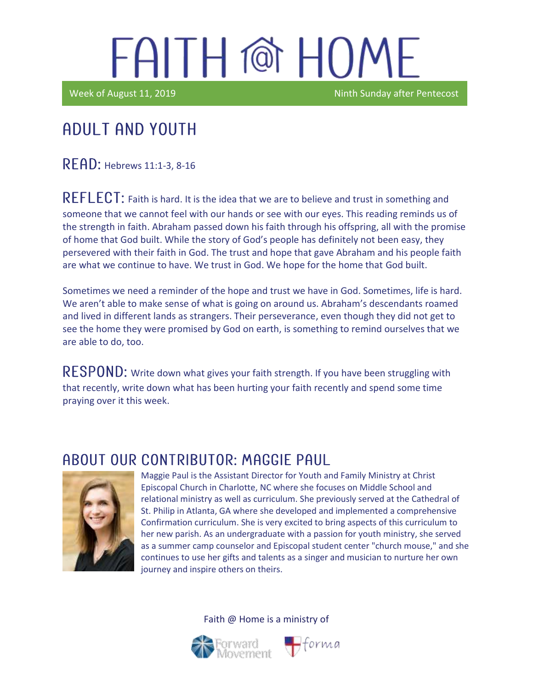Week of August 11, 2019 Ninth Sunday after Pentecost

#### Ϊ Adult and youth

READ: Hebrews 11:1-3, 8-16

REFLECT: Faith is hard. It is the idea that we are to believe and trust in something and someone that we cannot feel with our hands or see with our eyes. This reading reminds us of the strength in faith. Abraham passed down his faith through his offspring, all with the promise of home that God built. While the story of God's people has definitely not been easy, they persevered with their faith in God. The trust and hope that gave Abraham and his people faith are what we continue to have. We trust in God. We hope for the home that God built.

Sometimes we need a reminder of the hope and trust we have in God. Sometimes, life is hard. We aren't able to make sense of what is going on around us. Abraham's descendants roamed and lived in different lands as strangers. Their perseverance, even though they did not get to see the home they were promised by God on earth, is something to remind ourselves that we are able to do, too.

RESPOND: Write down what gives your faith strength. If you have been struggling with that recently, write down what has been hurting your faith recently and spend some time praying over it this week.

#### ABOUT OUR CONTRIBUTOR: MAGGIE PAUL



Maggie Paul is the Assistant Director for Youth and Family Ministry at Christ Episcopal Church in Charlotte, NC where she focuses on Middle School and relational ministry as well as curriculum. She previously served at the Cathedral of St. Philip in Atlanta, GA where she developed and implemented a comprehensive Confirmation curriculum. She is very excited to bring aspects of this curriculum to her new parish. As an undergraduate with a passion for youth ministry, she served as a summer camp counselor and Episcopal student center "church mouse," and she continues to use her gifts and talents as a singer and musician to nurture her own journey and inspire others on theirs.